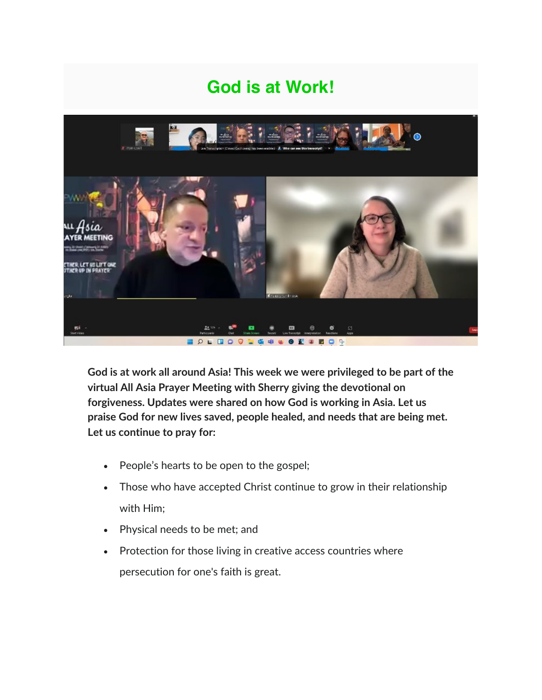## **God is at Work!**



**God is at work all around Asia! This week we were privileged to be part of the virtual All Asia Prayer Meeting with Sherry giving the devotional on forgiveness. Updates were shared on how God is working in Asia. Let us praise God for new lives saved, people healed, and needs that are being met. Let us continue to pray for:**

- People's hearts to be open to the gospel;
- Those who have accepted Christ continue to grow in their relationship with Him;
- Physical needs to be met; and
- Protection for those living in creative access countries where persecution for one's faith is great.